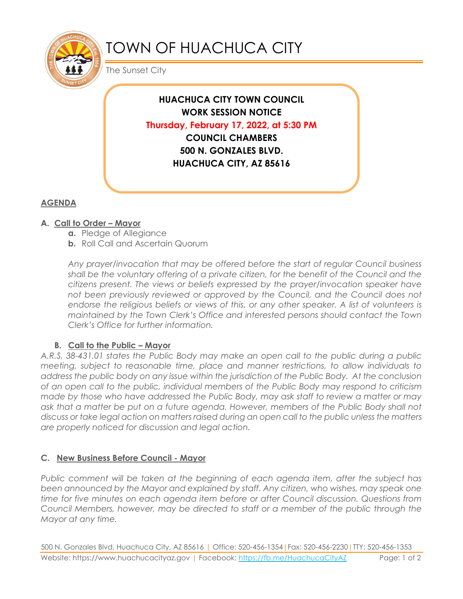

# TOWN OF HUACHUCA CITY

The Sunset City

**HUACHUCA CITY TOWN COUNCIL WORK SESSION NOTICE Thursday, February 17, 2022, at 5:30 PM COUNCIL CHAMBERS 500 N. GONZALES BLVD. HUACHUCA CITY, AZ 85616**

## **AGENDA**

### **A.** Call to Order – Mayor

- **a.** Pledge of Allegiance
- **b.** Roll Call and Ascertain Quorum

*Any prayer/invocation that may be offered before the start of regular Council business shall be the voluntary offering of a private citizen, for the benefit of the Council and the citizens present. The views or beliefs expressed by the prayer/invocation speaker have not been previously reviewed or approved by the Council, and the Council does not* endorse the religious beliefs or views of this, or any other speaker. A list of volunteers is *maintained by the Town Clerk's Office and interested persons should contact the Town Clerk's Office for further information.*

### **B. Call to the Public – Mayor**

*A.R.S. 38-431.01 states the Public Body may make an open call to the public during a public meeting, subject to reasonable time, place and manner restrictions, to allow individuals to address the public body on any issue within the jurisdiction of the Public Body. At the conclusion of an open call to the public, individual members of the Public Body may respond to criticism made by those who have addressed the Public Body, may ask staff to review a matter or may*  ask that a matter be put on a future agenda. However, members of the Public Body shall not *discuss or take legal action on matters raised during an open call to the public unless the matters are properly noticed for discussion and legal action.*

### **C. New Business Before Council - Mayor**

*Public comment will be taken at the beginning of each agenda item, after the subject has been announced by the Mayor and explained by staff. Any citizen, who wishes, may speak one time for five minutes on each agenda item before or after Council discussion. Questions from Council Members, however, may be directed to staff or a member of the public through the Mayor at any time.* 

500 N. Gonzales Blvd, Huachuca City, AZ 85616 | Office: 520-456-1354|Fax: 520-456-2230|TTY: 520-456-1353 Website: https://www.huachucacityaz.gov | Facebook:<https://fb.me/HuachucaCityAZ> Page: 1 of 2